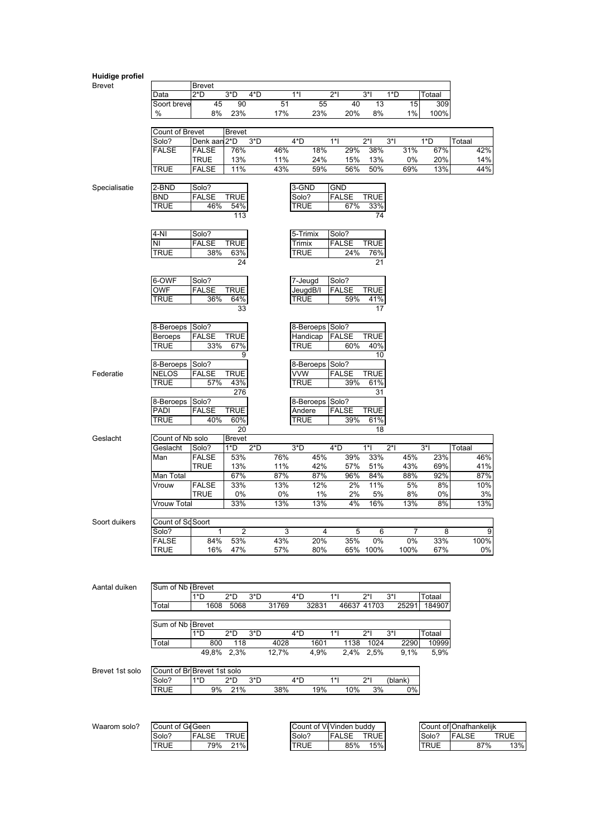| Huidige profiel |                             |                     |                            |             |                 |                          |                  |           |            |                        |            |
|-----------------|-----------------------------|---------------------|----------------------------|-------------|-----------------|--------------------------|------------------|-----------|------------|------------------------|------------|
| <b>Brevet</b>   |                             | <b>Brevet</b>       |                            |             |                 |                          |                  |           |            |                        |            |
|                 | Data                        | $2^{\ast}D$         | $3*D$<br>4*D               | $1^*$       |                 | $2^*$                    | $3^*$<br>1*D     |           | Totaal     |                        |            |
|                 | Soort breve<br>%            | 45                  | 90                         | 51          | 55<br>23%       | 40                       | 13               | 15        | 309        |                        |            |
|                 |                             | 8%                  | 23%                        | 17%         |                 | 20%                      | 8%               | 1%        | 100%       |                        |            |
|                 | Count of Brevet             |                     | <b>Brevet</b>              |             |                 |                          |                  |           |            |                        |            |
|                 | Solo?                       | Denk aan            | $3*D$<br>2*D               | 4*D         |                 | $1*$                     | $2^*$<br>$3^*$   |           | 1*D        | Totaal                 |            |
|                 | <b>FALSE</b>                | <b>FALSE</b>        | 76%                        | 46%         | 18%             | 29%                      | 38%              | 31%       | 67%        |                        | 42%        |
|                 |                             | <b>TRUE</b>         | 13%                        | 11%         | 24%             | 15%                      | 13%              | 0%        | 20%        |                        | 14%        |
|                 | <b>TRUE</b>                 | FALSE               | 11%                        | 43%         | 59%             | 56%                      | 50%              | 69%       | 13%        |                        | 44%        |
|                 |                             |                     |                            |             |                 |                          |                  |           |            |                        |            |
| Specialisatie   | 2-BND                       | Solo?               |                            |             | 3-GND           | <b>GND</b>               |                  |           |            |                        |            |
|                 | <b>BND</b><br>TRUE          | <b>FALSE</b><br>46% | <b>TRUE</b>                |             | Solo?<br>TRUE   | <b>FALSE</b><br>67%      | <b>TRUE</b>      |           |            |                        |            |
|                 |                             |                     | 54%<br>113                 |             |                 |                          | 33%<br>74        |           |            |                        |            |
|                 |                             |                     |                            |             |                 |                          |                  |           |            |                        |            |
|                 | $4-NI$                      | Solo?               |                            |             | 5-Trimix        | Solo?                    |                  |           |            |                        |            |
|                 | NI                          | <b>FALSE</b>        | <b>TRUE</b>                |             | Trimix          | <b>FALSE</b>             | <b>TRUE</b>      |           |            |                        |            |
|                 | <b>TRUE</b>                 | 38%                 | 63%                        |             | TRUE            | 24%                      | 76%              |           |            |                        |            |
|                 |                             |                     | 24                         |             |                 |                          | 21               |           |            |                        |            |
|                 |                             |                     |                            |             |                 |                          |                  |           |            |                        |            |
|                 | 6-OWF                       | Solo?               |                            |             | 7-Jeugd         | Solo?                    |                  |           |            |                        |            |
|                 | OWF                         | <b>FALSE</b>        | <b>TRUE</b>                |             | JeugdB/I        | <b>FALSE</b>             | <b>TRUE</b>      |           |            |                        |            |
|                 | TRUE                        | 36%                 | 64%<br>33                  |             | TRUE            | 59%                      | 41%<br>17        |           |            |                        |            |
|                 |                             |                     |                            |             |                 |                          |                  |           |            |                        |            |
|                 | 8-Beroeps                   | Solo?               |                            |             | 8-Beroeps Solo? |                          |                  |           |            |                        |            |
|                 | <b>Beroeps</b>              | <b>FALSE</b>        | TRUE                       |             | Handicap        | <b>FALSE</b>             | TRUE             |           |            |                        |            |
|                 | <b>TRUE</b>                 | 33%                 | 67%                        |             | TRUE            | 60%                      | 40%              |           |            |                        |            |
|                 |                             |                     | 9                          |             |                 |                          | 10               |           |            |                        |            |
|                 | 8-Beroeps                   | Solo?               |                            |             | 8-Beroeps Solo? |                          |                  |           |            |                        |            |
| Federatie       | <b>NELOS</b>                | <b>FALSE</b>        | <b>TRUE</b>                | VVW         |                 | <b>FALSE</b>             | <b>TRUE</b>      |           |            |                        |            |
|                 | <b>TRUE</b>                 | 57%                 | 43%<br>276                 |             | TRUE            | 39%                      | 61%<br>31        |           |            |                        |            |
|                 | 8-Beroeps                   | Solo?               |                            |             | 8-Beroeps Solo? |                          |                  |           |            |                        |            |
|                 | PADI                        | <b>FALSE</b>        | TRUE                       |             | Andere          | <b>FALSE</b>             | <b>TRUE</b>      |           |            |                        |            |
|                 | <b>TRUE</b>                 | 40%                 | 60%                        |             | TRUE            | 39%                      | 61%              |           |            |                        |            |
|                 |                             |                     | 20                         |             |                 |                          | 18               |           |            |                        |            |
| Geslacht        | Count of Nb solo            |                     | Brevet                     |             |                 |                          |                  |           |            |                        |            |
|                 | Geslacht                    | Solo?               | 1*D<br>$2^{\ast}D$         | $3^{\ast}D$ |                 | 4*D                      | $1^*$<br>$2^*$   |           | $3^*$      | Totaal                 |            |
|                 | Man                         | <b>FALSE</b>        | 53%                        | 76%         | 45%             | 39%                      | 33%              | 45%       | 23%        |                        | 46%        |
|                 | Man Total                   | TRUE                | 13%<br>67%                 | 11%<br>87%  | 42%<br>87%      | 57%<br>96%               | 51%              | 43%       | 69%<br>92% |                        | 41%        |
|                 | Vrouw                       | <b>FALSE</b>        | 33%                        | 13%         | 12%             | 2%                       | 84%<br>11%       | 88%<br>5% | 8%         |                        | 87%<br>10% |
|                 |                             | TRUE                | 0%                         | 0%          | 1%              | 2%                       | 5%               | 8%        | 0%         |                        | 3%         |
|                 | Vrouw Total                 |                     | 33%                        | 13%         | 13%             | 4%                       | 16%              | 13%       | 8%         |                        | 13%        |
|                 |                             |                     |                            |             |                 |                          |                  |           |            |                        |            |
| Soort duikers   | Count of Sc Soort           |                     |                            |             |                 |                          |                  |           |            |                        |            |
|                 | Solo?                       | 1                   | 2                          | 3           | 4               | 5                        | 6                | $\prime$  | 8          |                        | 9          |
|                 | <b>FALSE</b>                | 84%                 | 53%                        | 43%         | 20%             | 35%                      | 0%               | 0%        | 33%        |                        | 100%       |
|                 | TRUE                        | 16%                 | 47%                        | 57%         | 80%             |                          | 65% 100%         | 100%      | 67%        |                        | 0%         |
|                 |                             |                     |                            |             |                 |                          |                  |           |            |                        |            |
|                 |                             |                     |                            |             |                 |                          |                  |           |            |                        |            |
| Aantal duiken   | Sum of Nb Brevet            |                     |                            |             |                 |                          |                  |           |            |                        |            |
|                 |                             | 1*D                 | $2^{\ast}D$<br>$3^{\ast}D$ | $4^{\ast}D$ |                 | $1^*$                    | $2^*$<br>$3^*$ l |           | Totaal     |                        |            |
|                 | Total                       | 1608                | 5068                       | 31769       | 32831           | 46637 41703              |                  | 25291     | 184907     |                        |            |
|                 |                             |                     |                            |             |                 |                          |                  |           |            |                        |            |
|                 | Sum of Nb Brevet            |                     |                            |             |                 |                          |                  |           |            |                        |            |
|                 |                             | 1*D                 | $2^{\ast}D$<br>$3*D$       | $4^{\ast}D$ |                 | $1^*$                    | $2^*$<br>$3^*$   |           | Totaal     |                        |            |
|                 | Total                       | 800                 | 118                        | 4028        | 1601            | 1138                     | 1024             | 2290      | 10999      |                        |            |
|                 |                             |                     | 49,8% 2,3%                 | 12,7%       | 4,9%            |                          | 2,4% 2,5%        | 9,1%      | 5,9%       |                        |            |
| Brevet 1st solo | Count of Br Brevet 1st solo |                     |                            |             |                 |                          |                  |           |            |                        |            |
|                 | Solo?                       | 1*D                 | 2*D<br>$3^{\ast}D$         | 4*D         |                 | $1^*$                    | $2^*$            | (blank)   |            |                        |            |
|                 | <b>TRUE</b>                 | 9%                  | 21%                        | 38%         | 19%             | 10%                      | 3%               | 0%        |            |                        |            |
|                 |                             |                     |                            |             |                 |                          |                  |           |            |                        |            |
|                 |                             |                     |                            |             |                 |                          |                  |           |            |                        |            |
|                 |                             |                     |                            |             |                 |                          |                  |           |            |                        |            |
| Waarom solo?    | Count of GeGeen             |                     |                            |             |                 | Count of Vi Vinden buddy |                  |           |            | Count of Onafhankelijk |            |

| Count of GeGen |                                  |       | Count of VI vingen buggy              |             | Count of IOnamankellik |
|----------------|----------------------------------|-------|---------------------------------------|-------------|------------------------|
| Solo?          | םו וס־<br>$\sim$<br>KUE.<br>ALSE | Solo? | TRUE<br>$F^{\Lambda}$<br>€<br>' ⊢ALo∟ | Solo?       | TRUE<br>⊏ALS∟          |
| "RUE           | 79%<br>21%                       | RUE   | 15%<br>85%                            | <b>TRUE</b> | 13%<br>87%             |

 $\overline{\phantom{a}}$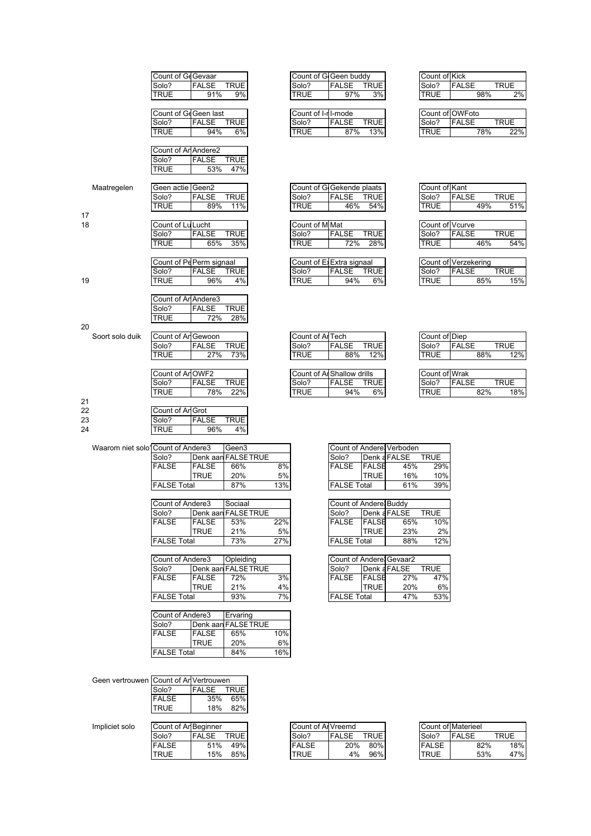|    |                                   | Count of GeGevaar       |              |                     |     | Count of G Geen buddy      |                         |              |                           | Count of Kick   |                      |             |     |
|----|-----------------------------------|-------------------------|--------------|---------------------|-----|----------------------------|-------------------------|--------------|---------------------------|-----------------|----------------------|-------------|-----|
|    |                                   |                         |              |                     |     |                            |                         |              |                           |                 |                      |             |     |
|    |                                   | Solo?                   | FALSE        | <b>TRUE</b>         |     | Solo?                      | FALSE                   | <b>TRUE</b>  |                           | Solo?           | FALSE                | <b>TRUE</b> |     |
|    |                                   | TRUE                    | 91%          | 9%                  |     | <b>TRUE</b>                | 97%                     | 3%           |                           | TRUE            | 98%                  |             | 2%  |
|    |                                   |                         |              |                     |     |                            |                         |              |                           |                 |                      |             |     |
|    |                                   | Count of GeGeen last    |              |                     |     | Count of I-r I-mode        |                         |              |                           |                 | Count of OWFoto      |             |     |
|    |                                   | Solo?                   | <b>FALSE</b> | <b>TRUE</b>         |     | Solo?                      | <b>FALSE</b>            | <b>TRUE</b>  |                           | Solo?           | <b>FALSE</b>         | <b>TRUE</b> |     |
|    |                                   | <b>TRUE</b>             | 94%          | 6%                  |     | TRUE                       | 87%                     | 13%          |                           | TRUE            | 78%                  |             | 22% |
|    |                                   |                         |              |                     |     |                            |                         |              |                           |                 |                      |             |     |
|    |                                   | Count of Ar Andere2     |              |                     |     |                            |                         |              |                           |                 |                      |             |     |
|    |                                   | Solo?                   | <b>FALSE</b> | <b>TRUE</b>         |     |                            |                         |              |                           |                 |                      |             |     |
|    |                                   | TRUE                    | 53%          | 47%                 |     |                            |                         |              |                           |                 |                      |             |     |
|    |                                   |                         |              |                     |     |                            |                         |              |                           |                 |                      |             |     |
|    |                                   |                         |              |                     |     |                            |                         |              |                           |                 |                      |             |     |
|    | Maatregelen                       | Geen actie Geen2        |              |                     |     | Count of G Gekende plaats  |                         |              |                           | Count of Kant   |                      |             |     |
|    |                                   | Solo?                   | <b>FALSE</b> | <b>TRUE</b>         |     | Solo?                      | <b>FALSE</b>            | <b>TRUE</b>  |                           | Solo?           | <b>FALSE</b>         | <b>TRUE</b> |     |
|    |                                   | TRUE                    | 89%          | 11%                 |     | TRUE                       | 46%                     | 54%          |                           | TRUE            | 49%                  |             | 51% |
| 17 |                                   |                         |              |                     |     |                            |                         |              |                           |                 |                      |             |     |
| 18 |                                   | Count of Lu Lucht       |              |                     |     | Count of M Mat             |                         |              |                           | Count of Vcurve |                      |             |     |
|    |                                   | Solo?                   | FALSE        | TRUE                |     | Solo?                      | <b>FALSE</b>            | <b>TRUE</b>  |                           | Solo?           | <b>FALSE</b>         | <b>TRUE</b> |     |
|    |                                   | TRUE                    | 65%          | 35%                 |     | TRUE                       | 72%                     | 28%          |                           | TRUE            | 46%                  |             | 54% |
|    |                                   |                         |              |                     |     |                            |                         |              |                           |                 |                      |             |     |
|    |                                   | Count of PePerm signaal |              |                     |     | Count of ExExtra signaal   |                         |              |                           |                 | Count of Verzekering |             |     |
|    |                                   |                         |              |                     |     |                            | <b>FALSE</b>            | <b>TRUE</b>  |                           | Solo?           |                      | <b>TRUE</b> |     |
|    |                                   | Solo?                   | <b>FALSE</b> | <b>TRUE</b>         |     | Solo?                      |                         |              |                           |                 | <b>FALSE</b>         |             |     |
| 19 |                                   | TRUE                    | 96%          | 4%                  |     | TRUE                       | 94%                     | 6%           |                           | TRUE            | 85%                  |             | 15% |
|    |                                   |                         |              |                     |     |                            |                         |              |                           |                 |                      |             |     |
|    |                                   | Count of Ar Andere3     |              |                     |     |                            |                         |              |                           |                 |                      |             |     |
|    |                                   | Solo?                   | <b>FALSE</b> | <b>TRUE</b>         |     |                            |                         |              |                           |                 |                      |             |     |
|    |                                   | TRUE                    | 72%          | 28%                 |     |                            |                         |              |                           |                 |                      |             |     |
| 20 |                                   |                         |              |                     |     |                            |                         |              |                           |                 |                      |             |     |
|    | Soort solo duik                   | Count of Ar Gewoon      |              |                     |     | Count of Al Tech           |                         |              |                           | Count of Diep   |                      |             |     |
|    |                                   | Solo?                   | <b>FALSE</b> | TRUE                |     | Solo?                      | <b>FALSE</b>            | <b>TRUE</b>  |                           | Solo?           | <b>FALSE</b>         | <b>TRUE</b> |     |
|    |                                   | TRUE                    | 27%          | 73%                 |     | TRUE                       | 88%                     | 12%          |                           | TRUE            | 88%                  |             | 12% |
|    |                                   |                         |              |                     |     |                            |                         |              |                           |                 |                      |             |     |
|    |                                   |                         |              |                     |     |                            |                         |              |                           |                 |                      |             |     |
|    |                                   | Count of Ar OWF2        |              |                     |     | Count of Al Shallow drills |                         |              |                           | Count of Wrak   |                      |             |     |
|    |                                   | Solo?                   | FALSE        | TRUE                |     | Solo?                      | <b>FALSE</b>            | <b>TRUE</b>  |                           | Solo?           | <b>FALSE</b>         | <b>TRUE</b> |     |
|    |                                   | TRUE                    | 78%          | 22%                 |     | TRUE                       | 94%                     | 6%           |                           | TRUE            | 82%                  |             | 18% |
| 21 |                                   |                         |              |                     |     |                            |                         |              |                           |                 |                      |             |     |
| 22 |                                   | Count of Ar Grot        |              |                     |     |                            |                         |              |                           |                 |                      |             |     |
| 23 |                                   | Solo?                   | <b>FALSE</b> | TRUE                |     |                            |                         |              |                           |                 |                      |             |     |
| 24 |                                   | TRUE                    | 96%          | 4%                  |     |                            |                         |              |                           |                 |                      |             |     |
|    |                                   |                         |              |                     |     |                            |                         |              |                           |                 |                      |             |     |
|    | Waarom niet solo1Count of Andere3 |                         |              | Geen3               |     |                            |                         |              | Count of Andere! Verboden |                 |                      |             |     |
|    |                                   |                         |              | Denk aan FALSE TRUE |     |                            |                         |              |                           | <b>TRUE</b>     |                      |             |     |
|    |                                   | Solo?                   |              |                     |     |                            | Solo?                   |              | Denk a FALSE              |                 |                      |             |     |
|    |                                   | FALSE                   | <b>FALSE</b> | 66%                 | 8%  |                            | <b>FALSE</b>            | <b>FALSE</b> | 45%                       | 29%             |                      |             |     |
|    |                                   |                         | <b>TRUE</b>  | 20%                 | 5%  |                            |                         | TRUE         | 16%                       | 10%             |                      |             |     |
|    |                                   | <b>FALSE Total</b>      |              | 87%                 | 13% |                            | <b>FALSE Total</b>      |              | 61%                       | 39%             |                      |             |     |
|    |                                   |                         |              |                     |     |                            |                         |              |                           |                 |                      |             |     |
|    |                                   | Count of Andere3        |              | Sociaal             |     |                            | Count of Andere Buddy   |              |                           |                 |                      |             |     |
|    |                                   | Solo?                   |              | Denk aan FALSE TRUE |     |                            | Solo?                   |              | Denk a FALSE              | <b>TRUE</b>     |                      |             |     |
|    |                                   | FALSE                   | FALSE        | 53%                 | 22% |                            | FALSE                   | <b>FALSE</b> | 65%                       | 10%             |                      |             |     |
|    |                                   |                         | TRUE         | 21%                 | 5%  |                            |                         | TRUE         | 23%                       | 2%              |                      |             |     |
|    |                                   | <b>FALSE Total</b>      |              | 73%                 | 27% |                            | <b>FALSE Total</b>      |              | 88%                       | 12%             |                      |             |     |
|    |                                   |                         |              |                     |     |                            |                         |              |                           |                 |                      |             |     |
|    |                                   |                         |              |                     |     |                            |                         |              |                           |                 |                      |             |     |
|    |                                   | Count of Andere3        |              | Opleiding           |     |                            | Count of Andere Gevaar2 |              |                           | <b>TRUE</b>     |                      |             |     |
|    |                                   | Solo?                   | Denk aan     | <b>FALSE TRUE</b>   |     |                            | Solo?                   |              | Denk a FALSE              |                 |                      |             |     |
|    |                                   | <b>FALSE</b>            | <b>FALSE</b> | 72%                 | 3%  |                            | <b>FALSE</b>            | <b>FALSE</b> | 27%                       | 47%             |                      |             |     |
|    |                                   |                         | <b>TRUE</b>  | 21%                 | 4%  |                            |                         | TRUE         | 20%                       | 6%              |                      |             |     |
|    |                                   | <b>FALSE Total</b>      |              | 93%                 | 7%  |                            | <b>FALSE Total</b>      |              | 47%                       | 53%             |                      |             |     |
|    |                                   |                         |              |                     |     |                            |                         |              |                           |                 |                      |             |     |
|    |                                   | Count of Andere3        |              | Ervaring            |     |                            |                         |              |                           |                 |                      |             |     |
|    |                                   | Solo?                   |              | Denk aan FALSE TRUE |     |                            |                         |              |                           |                 |                      |             |     |
|    |                                   | FALSE                   | <b>FALSE</b> | 65%                 | 10% |                            |                         |              |                           |                 |                      |             |     |
|    |                                   |                         | <b>TRUE</b>  | 20%                 | 6%  |                            |                         |              |                           |                 |                      |             |     |
|    |                                   |                         |              |                     |     |                            |                         |              |                           |                 |                      |             |     |
|    |                                   | <b>FALSE Total</b>      |              | 84%                 | 16% |                            |                         |              |                           |                 |                      |             |     |
|    |                                   |                         |              |                     |     |                            |                         |              |                           |                 |                      |             |     |
|    |                                   |                         |              |                     |     |                            |                         |              |                           |                 |                      |             |     |

Geen vertrouwen Count of An Vertrouwen<br>Solo? FALSE TI

Solo? FALSE TRUE<br>FALSE 35% 65% FALSE 35% 65%<br>TRUE 18% 82%

18% 82%

| COUNT OF KICK   |              |     |             |
|-----------------|--------------|-----|-------------|
| Solo?           | <b>FALSE</b> |     | <b>TRUE</b> |
| TRUE            |              | 98% | 2%          |
|                 |              |     |             |
| Count of OWFoto |              |     |             |
| Solo?           | <b>FALSE</b> |     | <b>TRUE</b> |
| TRUE            |              | 78% | 22%         |
|                 |              |     |             |

٦

|                | Count of Kant   |              |     |             |  |
|----------------|-----------------|--------------|-----|-------------|--|
|                | Solo?           | <b>FALSE</b> |     | <b>TRUE</b> |  |
| 6              | <b>TRUE</b>     |              | 49% | 51%         |  |
|                |                 |              |     |             |  |
|                | Count of Vcurve |              |     |             |  |
| $\overline{a}$ | Solo?           | <b>FALSE</b> |     | <b>TRUE</b> |  |
| ó              | <b>TRUE</b>     |              | 46% | 54%         |  |
|                |                 |              |     |             |  |

|              | Count of Verzekering |      |
|--------------|----------------------|------|
| Solo?        | <b>IFALSE</b>        | TRUF |
| <b>ITRUE</b> | 85%                  | 15%  |

| Count of Diep                              |              |             |
|--------------------------------------------|--------------|-------------|
| Solo?                                      | <b>FALSE</b> | <b>TRUE</b> |
| <b>TRUE</b>                                | 88%          | 12%         |
|                                            |              |             |
| $C_{\text{out}} + \sigma$ M <sub>rok</sub> |              |             |

| <b>OVAIR VI VILLAIS</b> |              |       |
|-------------------------|--------------|-------|
| Solo?                   | <b>FALSE</b> | TRIJF |
| TRUF                    |              |       |

|                    |              | Count of Andere; Verboden |             |
|--------------------|--------------|---------------------------|-------------|
| Solo?              |              | Denk a FALSE              | <b>TRUE</b> |
| <b>FALSE</b>       | <b>FALSE</b> | 45%                       | 29%         |
|                    | <b>TRUE</b>  | 16%                       | 10%         |
| <b>FALSE Total</b> |              | 61%                       | 39%         |
|                    |              |                           |             |

| Count of Andere Buddy |               |              |             |
|-----------------------|---------------|--------------|-------------|
| Solo?                 |               | Denk a FALSE | <b>TRUE</b> |
| <b>FALSE</b>          | <b>IFALSE</b> | 65%          | 10%         |
|                       | <b>TRUE</b>   | 23%          | 2%          |
| <b>FALSE Total</b>    |               | 88%          | 12%         |

| Count of Andere Gevaar2 |              |              |             |
|-------------------------|--------------|--------------|-------------|
| Solo?                   |              | Denk a FALSE | <b>TRUE</b> |
| <b>FALSE</b>            | <b>FALSE</b> | 27%          | 47%         |
|                         | <b>TRUE</b>  | 20%          | 6%          |
| <b>FALSE Total</b>      |              | 47%          | 53%         |

| Impliciet solo | Count of An Beginner |              |       |              | Count of All Vreemd |              |             |              | Count of Materieel |      |
|----------------|----------------------|--------------|-------|--------------|---------------------|--------------|-------------|--------------|--------------------|------|
|                | Solo?                | <b>FALSE</b> | TRUE. | Solo?        |                     | <b>FALSE</b> | <b>TRUE</b> | Solo?        | <b>IFALSE</b>      | TRUE |
|                | <b>FALSE</b>         | 51%          | 49%   | <b>FALSE</b> |                     | 20%          | 80%         | <b>FALSE</b> | 82%                | 18%  |
|                | <b>TRUE</b>          | 15%          | 85%   | <b>TRUE</b>  |                     | 4%           | 96%         | <b>TRUE</b>  | 53%                | 47%  |